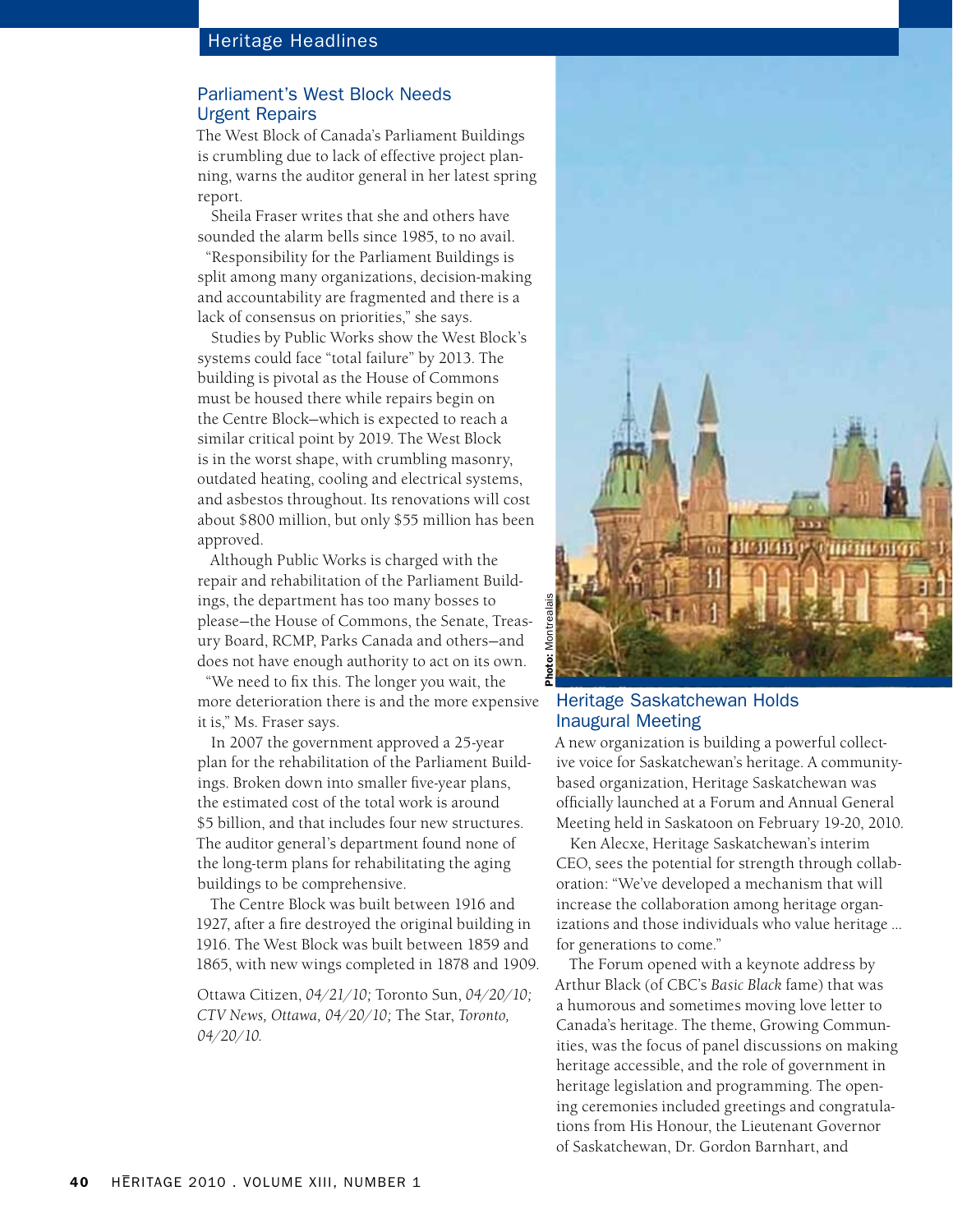## Parliament's West Block Needs Urgent Repairs

The West Block of Canada's Parliament Buildings is crumbling due to lack of effective project planning, warns the auditor general in her latest spring report.

Sheila Fraser writes that she and others have sounded the alarm bells since 1985, to no avail.

"Responsibility for the Parliament Buildings is split among many organizations, decision-making and accountability are fragmented and there is a lack of consensus on priorities," she says.

Studies by Public Works show the West Block's systems could face "total failure" by 2013. The building is pivotal as the House of Commons must be housed there while repairs begin on the Centre Block—which is expected to reach a similar critical point by 2019. The West Block is in the worst shape, with crumbling masonry, outdated heating, cooling and electrical systems, and asbestos throughout. Its renovations will cost about \$800 million, but only \$55 million has been approved.

Although Public Works is charged with the repair and rehabilitation of the Parliament Buildings, the department has too many bosses to please—the House of Commons, the Senate, Treasury Board, RCMP, Parks Canada and others—and does not have enough authority to act on its own.

"We need to fix this. The longer you wait, the more deterioration there is and the more expensive it is," Ms. Fraser says.

In 2007 the government approved a 25-year plan for the rehabilitation of the Parliament Buildings. Broken down into smaller five-year plans, the estimated cost of the total work is around \$5 billion, and that includes four new structures. The auditor general's department found none of the long-term plans for rehabilitating the aging buildings to be comprehensive.

The Centre Block was built between 1916 and 1927, after a fire destroyed the original building in 1916. The West Block was built between 1859 and 1865, with new wings completed in 1878 and 1909.

Ottawa Citizen, *04/21/10;* Toronto Sun, *04/20/10; CTV News, Ottawa, 04/20/10;* The Star, *Toronto, 04/20/10.*



### Heritage Saskatchewan Holds Inaugural Meeting

A new organization is building a powerful collective voice for Saskatchewan's heritage. A communitybased organization, Heritage Saskatchewan was officially launched at a Forum and Annual General Meeting held in Saskatoon on February 19-20, 2010.

Ken Alecxe, Heritage Saskatchewan's interim CEO, sees the potential for strength through collaboration: "We've developed a mechanism that will increase the collaboration among heritage organizations and those individuals who value heritage … for generations to come."

The Forum opened with a keynote address by Arthur Black (of CBC's *Basic Black* fame) that was a humorous and sometimes moving love letter to Canada's heritage. The theme, Growing Communities, was the focus of panel discussions on making heritage accessible, and the role of government in heritage legislation and programming. The opening ceremonies included greetings and congratulations from His Honour, the Lieutenant Governor of Saskatchewan, Dr. Gordon Barnhart, and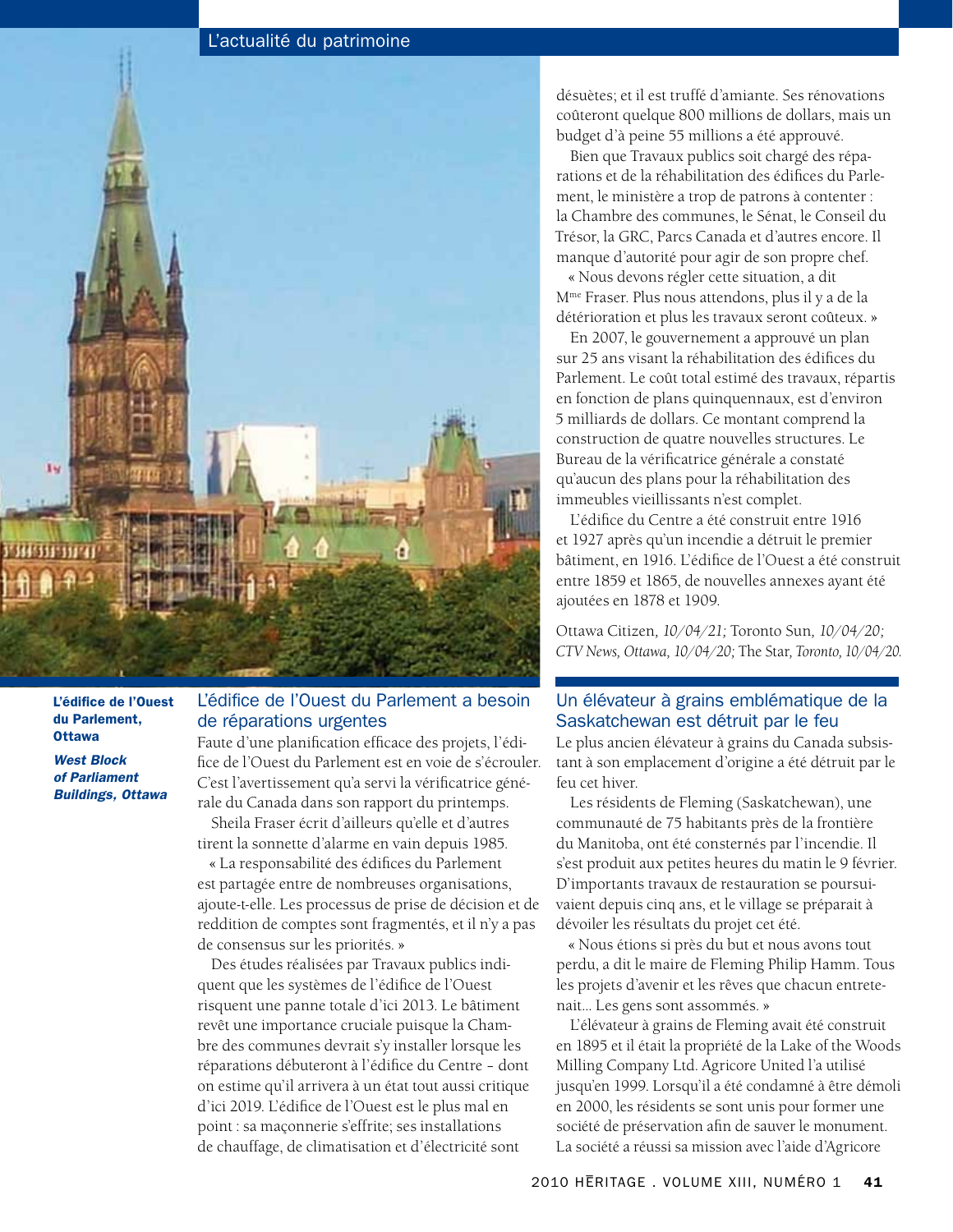# L'actualité du patrimoine



L'édifice de l'Ouest du Parlement, **Ottawa** 

*West Block of Parliament Buildings, Ottawa*

# L'édifice de l'Ouest du Parlement a besoin de réparations urgentes

Faute d'une planification efficace des projets, l'édifice de l'Ouest du Parlement est en voie de s'écrouler. C'est l'avertissement qu'a servi la vérificatrice générale du Canada dans son rapport du printemps.

Sheila Fraser écrit d'ailleurs qu'elle et d'autres tirent la sonnette d'alarme en vain depuis 1985.

« La responsabilité des édifices du Parlement est partagée entre de nombreuses organisations, ajoute-t-elle. Les processus de prise de décision et de reddition de comptes sont fragmentés, et il n'y a pas de consensus sur les priorités. »

Des études réalisées par Travaux publics indiquent que les systèmes de l'édifice de l'Ouest risquent une panne totale d'ici 2013. Le bâtiment revêt une importance cruciale puisque la Chambre des communes devrait s'y installer lorsque les réparations débuteront à l'édifice du Centre – dont on estime qu'il arrivera à un état tout aussi critique d'ici 2019. L'édifice de l'Ouest est le plus mal en point : sa maçonnerie s'effrite; ses installations de chauffage, de climatisation et d'électricité sont

désuètes; et il est truffé d'amiante. Ses rénovations coûteront quelque 800 millions de dollars, mais un budget d'à peine 55 millions a été approuvé.

Bien que Travaux publics soit chargé des réparations et de la réhabilitation des édifices du Parlement, le ministère a trop de patrons à contenter : la Chambre des communes, le Sénat, le Conseil du Trésor, la GRC, Parcs Canada et d'autres encore. Il manque d'autorité pour agir de son propre chef.

« Nous devons régler cette situation, a dit Mme Fraser. Plus nous attendons, plus il y a de la détérioration et plus les travaux seront coûteux. »

En 2007, le gouvernement a approuvé un plan sur 25 ans visant la réhabilitation des édifices du Parlement. Le coût total estimé des travaux, répartis en fonction de plans quinquennaux, est d'environ 5 milliards de dollars. Ce montant comprend la construction de quatre nouvelles structures. Le Bureau de la vérificatrice générale a constaté qu'aucun des plans pour la réhabilitation des immeubles vieillissants n'est complet.

L'édifice du Centre a été construit entre 1916 et 1927 après qu'un incendie a détruit le premier bâtiment, en 1916. L'édifice de l'Ouest a été construit entre 1859 et 1865, de nouvelles annexes ayant été ajoutées en 1878 et 1909.

Ottawa Citizen*, 10/04/21;* Toronto Sun*, 10/04/20; CTV News, Ottawa, 10/04/20;* The Star*, Toronto, 10/04/20.*

#### Un élévateur à grains emblématique de la Saskatchewan est détruit par le feu

Le plus ancien élévateur à grains du Canada subsistant à son emplacement d'origine a été détruit par le feu cet hiver.

Les résidents de Fleming (Saskatchewan), une communauté de 75 habitants près de la frontière du Manitoba, ont été consternés par l'incendie. Il s'est produit aux petites heures du matin le 9 février. D'importants travaux de restauration se poursuivaient depuis cinq ans, et le village se préparait à dévoiler les résultats du projet cet été.

« Nous étions si près du but et nous avons tout perdu, a dit le maire de Fleming Philip Hamm. Tous les projets d'avenir et les rêves que chacun entretenait... Les gens sont assommés. »

L'élévateur à grains de Fleming avait été construit en 1895 et il était la propriété de la Lake of the Woods Milling Company Ltd. Agricore United l'a utilisé jusqu'en 1999. Lorsqu'il a été condamné à être démoli en 2000, les résidents se sont unis pour former une société de préservation afin de sauver le monument. La société a réussi sa mission avec l'aide d'Agricore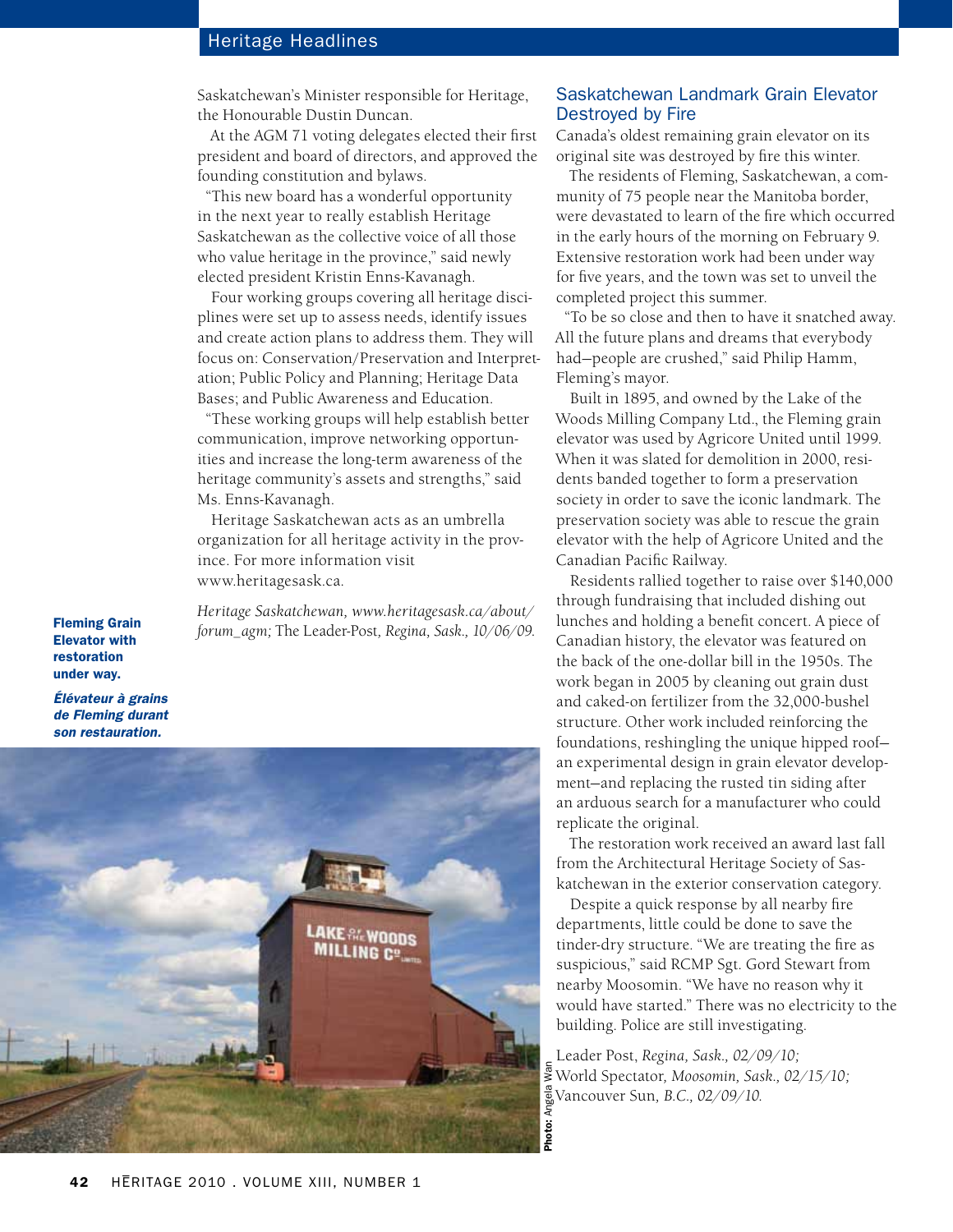# Heritage Headlines

Saskatchewan's Minister responsible for Heritage, the Honourable Dustin Duncan.

At the AGM 71 voting delegates elected their first president and board of directors, and approved the founding constitution and bylaws.

"This new board has a wonderful opportunity in the next year to really establish Heritage Saskatchewan as the collective voice of all those who value heritage in the province," said newly elected president Kristin Enns-Kavanagh.

Four working groups covering all heritage disciplines were set up to assess needs, identify issues and create action plans to address them. They will focus on: Conservation/Preservation and Interpretation; Public Policy and Planning; Heritage Data Bases; and Public Awareness and Education.

"These working groups will help establish better communication, improve networking opportunities and increase the long-term awareness of the heritage community's assets and strengths," said Ms. Enns-Kavanagh.

Heritage Saskatchewan acts as an umbrella organization for all heritage activity in the province. For more information visit www.heritagesask.ca.

*Heritage Saskatchewan, www.heritagesask.ca/about/ forum\_agm;* The Leader-Post*, Regina, Sask., 10/06/09.*

Fleming Grain Elevator with restoration under way.

*Élévateur à grains de Fleming durant son restauration.*



## Saskatchewan Landmark Grain Elevator Destroyed by Fire

Canada's oldest remaining grain elevator on its original site was destroyed by fire this winter.

The residents of Fleming, Saskatchewan, a community of 75 people near the Manitoba border, were devastated to learn of the fire which occurred in the early hours of the morning on February 9. Extensive restoration work had been under way for five years, and the town was set to unveil the completed project this summer.

"To be so close and then to have it snatched away. All the future plans and dreams that everybody had—people are crushed," said Philip Hamm, Fleming's mayor.

Built in 1895, and owned by the Lake of the Woods Milling Company Ltd., the Fleming grain elevator was used by Agricore United until 1999. When it was slated for demolition in 2000, residents banded together to form a preservation society in order to save the iconic landmark. The preservation society was able to rescue the grain elevator with the help of Agricore United and the Canadian Pacific Railway.

Residents rallied together to raise over \$140,000 through fundraising that included dishing out lunches and holding a benefit concert. A piece of Canadian history, the elevator was featured on the back of the one-dollar bill in the 1950s. The work began in 2005 by cleaning out grain dust and caked-on fertilizer from the 32,000-bushel structure. Other work included reinforcing the foundations, reshingling the unique hipped roof an experimental design in grain elevator development—and replacing the rusted tin siding after an arduous search for a manufacturer who could replicate the original.

The restoration work received an award last fall from the Architectural Heritage Society of Saskatchewan in the exterior conservation category.

Despite a quick response by all nearby fire departments, little could be done to save the tinder-dry structure. "We are treating the fire as suspicious," said RCMP Sgt. Gord Stewart from nearby Moosomin. "We have no reason why it would have started." There was no electricity to the building. Police are still investigating.

Leader Post, *Regina, Sask., 02/09/10;*  World Spectator*, Moosomin, Sask., 02/15/10;*  **W**<sub><sub>g</sub><br>Vancouver Sun, *B.C.*, 02/09/10.<br>**S**</sub>